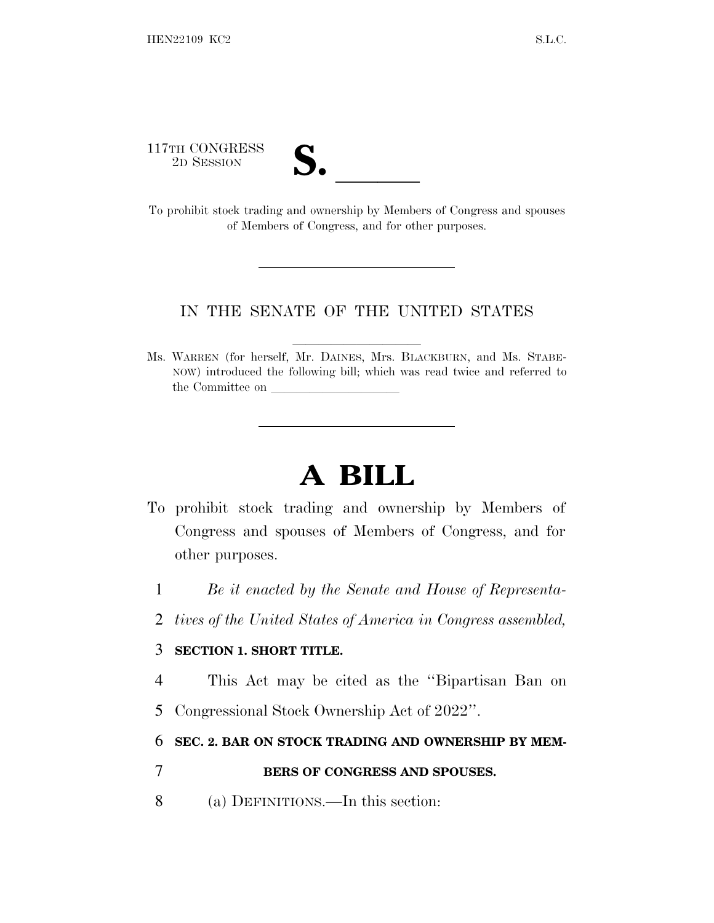117TH CONGRESS



117TH CONGRESS<br>
2D SESSION<br>
To prohibit stock trading and ownership by Members of Congress and spouses of Members of Congress, and for other purposes.

## IN THE SENATE OF THE UNITED STATES

Ms. WARREN (for herself, Mr. DAINES, Mrs. BLACKBURN, and Ms. STABE-NOW) introduced the following bill; which was read twice and referred to the Committee on

## **A BILL**

- To prohibit stock trading and ownership by Members of Congress and spouses of Members of Congress, and for other purposes.
	- 1 *Be it enacted by the Senate and House of Representa-*
	- 2 *tives of the United States of America in Congress assembled,*

## 3 **SECTION 1. SHORT TITLE.**

- 4 This Act may be cited as the ''Bipartisan Ban on
- 5 Congressional Stock Ownership Act of 2022''.

## 6 **SEC. 2. BAR ON STOCK TRADING AND OWNERSHIP BY MEM-**

- 7 **BERS OF CONGRESS AND SPOUSES.**
- 8 (a) DEFINITIONS.—In this section: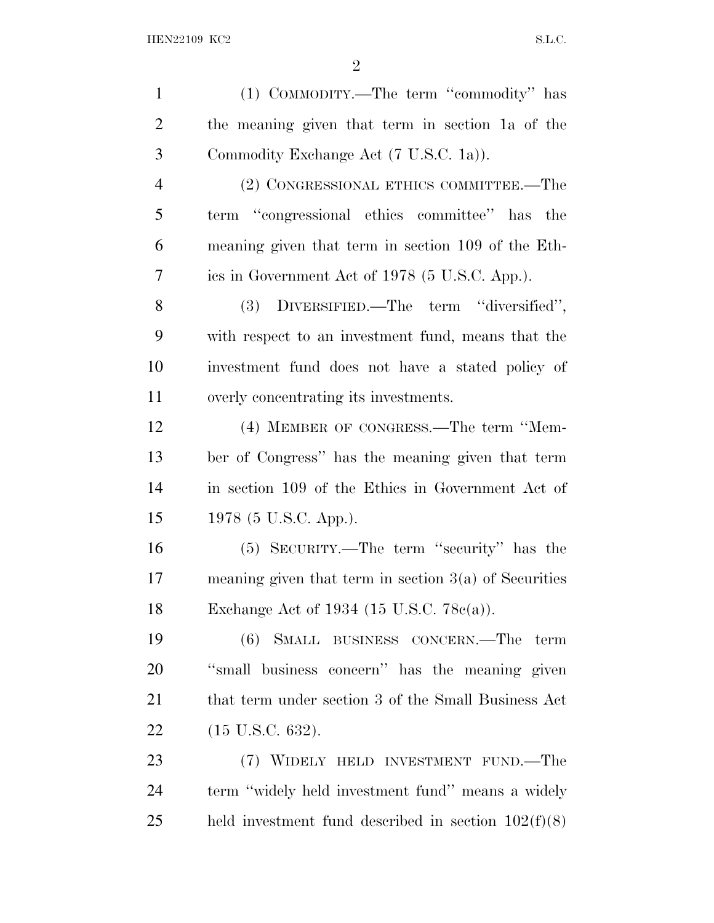| $\mathbf{1}$   | (1) COMMODITY.—The term "commodity" has                 |
|----------------|---------------------------------------------------------|
| $\overline{2}$ | the meaning given that term in section 1a of the        |
| 3              | Commodity Exchange Act (7 U.S.C. 1a)).                  |
| $\overline{4}$ | (2) CONGRESSIONAL ETHICS COMMITTEE.—The                 |
| 5              | term "congressional ethics committee" has the           |
| 6              | meaning given that term in section 109 of the Eth-      |
| 7              | ics in Government Act of 1978 (5 U.S.C. App.).          |
| 8              | (3) DIVERSIFIED.—The term "diversified",                |
| 9              | with respect to an investment fund, means that the      |
| 10             | investment fund does not have a stated policy of        |
| 11             | overly concentrating its investments.                   |
| 12             | (4) MEMBER OF CONGRESS.—The term "Mem-                  |
| 13             | ber of Congress" has the meaning given that term        |
| 14             | in section 109 of the Ethics in Government Act of       |
| 15             | 1978 (5 U.S.C. App.).                                   |
| 16             | (5) SECURITY.—The term "security" has the               |
| 17             | meaning given that term in section $3(a)$ of Securities |
| 18             | Exchange Act of 1934 (15 U.S.C. $78c(a)$ ).             |
| 19             | SMALL BUSINESS CONCERN.—The<br>(6)<br>term              |
| 20             | "small business concern" has the meaning given          |
| 21             | that term under section 3 of the Small Business Act     |
| 22             | $(15 \text{ U.S.C. } 632).$                             |
| 23             | (7) WIDELY HELD INVESTMENT FUND.—The                    |
| 24             | term "widely held investment fund" means a widely       |
| 25             | held investment fund described in section $102(f)(8)$   |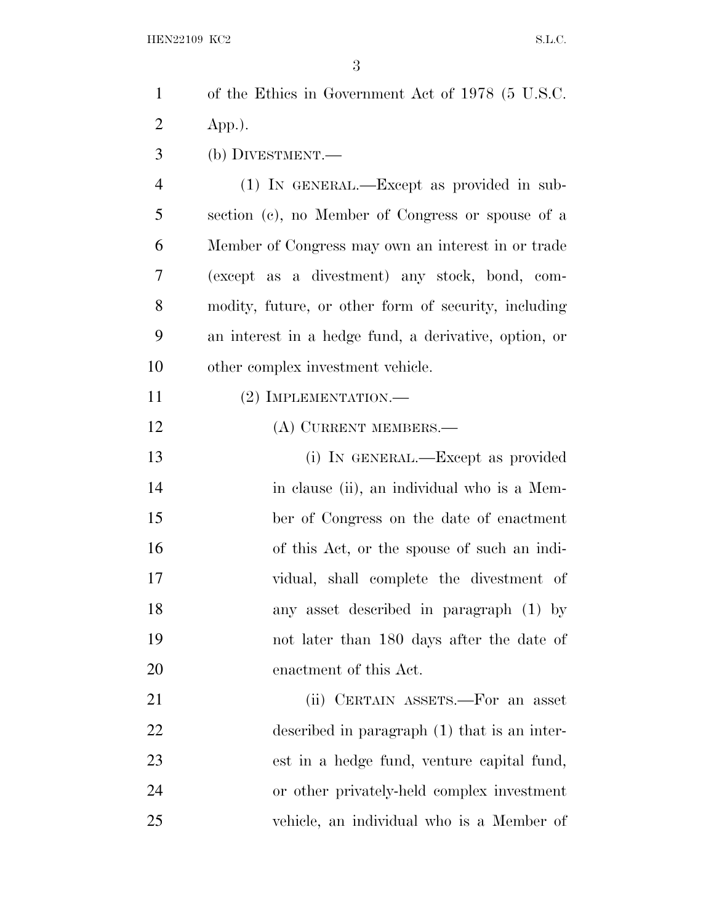| $\mathbf{1}$   | of the Ethics in Government Act of 1978 (5 U.S.C.     |
|----------------|-------------------------------------------------------|
| $\overline{2}$ | $App.)$ .                                             |
| 3              | (b) DIVESTMENT.—                                      |
| $\overline{4}$ | $(1)$ In GENERAL.—Except as provided in sub-          |
| 5              | section (c), no Member of Congress or spouse of a     |
| 6              | Member of Congress may own an interest in or trade    |
| 7              | (except as a divestment) any stock, bond, com-        |
| 8              | modity, future, or other form of security, including  |
| 9              | an interest in a hedge fund, a derivative, option, or |
| 10             | other complex investment vehicle.                     |
| 11             | $(2)$ IMPLEMENTATION.—                                |
| 12             | (A) CURRENT MEMBERS.—                                 |
| 13             | (i) IN GENERAL.—Except as provided                    |
| 14             | in clause (ii), an individual who is a Mem-           |
| 15             | ber of Congress on the date of enactment              |
| 16             | of this Act, or the spouse of such an indi-           |
| 17             | vidual, shall complete the divestment of              |
| 18             | any asset described in paragraph (1) by               |
| 19             | not later than 180 days after the date of             |
| 20             | enactment of this Act.                                |
| 21             | (ii) CERTAIN ASSETS.—For an asset                     |
| 22             | described in paragraph (1) that is an inter-          |
| 23             | est in a hedge fund, venture capital fund,            |
| 24             | or other privately-held complex investment            |
| 25             | vehicle, an individual who is a Member of             |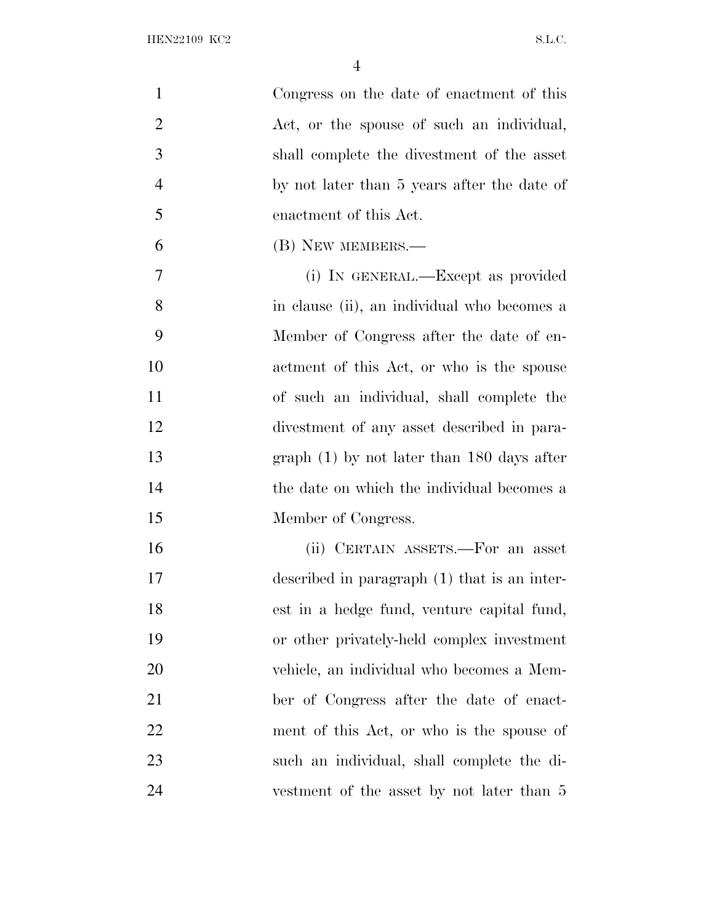| $\mathbf{1}$   | Congress on the date of enactment of this    |
|----------------|----------------------------------------------|
| $\overline{2}$ | Act, or the spouse of such an individual,    |
| 3              | shall complete the divestment of the asset   |
| $\overline{4}$ | by not later than 5 years after the date of  |
| 5              | enactment of this Act.                       |
| 6              | (B) NEW MEMBERS.—                            |
| $\overline{7}$ | (i) IN GENERAL.—Except as provided           |
| 8              | in clause (ii), an individual who becomes a  |
| 9              | Member of Congress after the date of en-     |
| 10             | actment of this Act, or who is the spouse    |
| 11             | of such an individual, shall complete the    |
| 12             | divestment of any asset described in para-   |
| 13             | $graph(1)$ by not later than 180 days after  |
| 14             | the date on which the individual becomes a   |
| 15             | Member of Congress.                          |
| 16             | (ii) CERTAIN ASSETS.—For an asset            |
| 17             | described in paragraph (1) that is an inter- |
| 18             | est in a hedge fund, venture capital fund,   |
| 19             | or other privately-held complex investment   |
| 20             | vehicle, an individual who becomes a Mem-    |
| 21             | ber of Congress after the date of enact-     |
| 22             | ment of this Act, or who is the spouse of    |
| 23             | such an individual, shall complete the di-   |
| 24             | vestment of the asset by not later than 5    |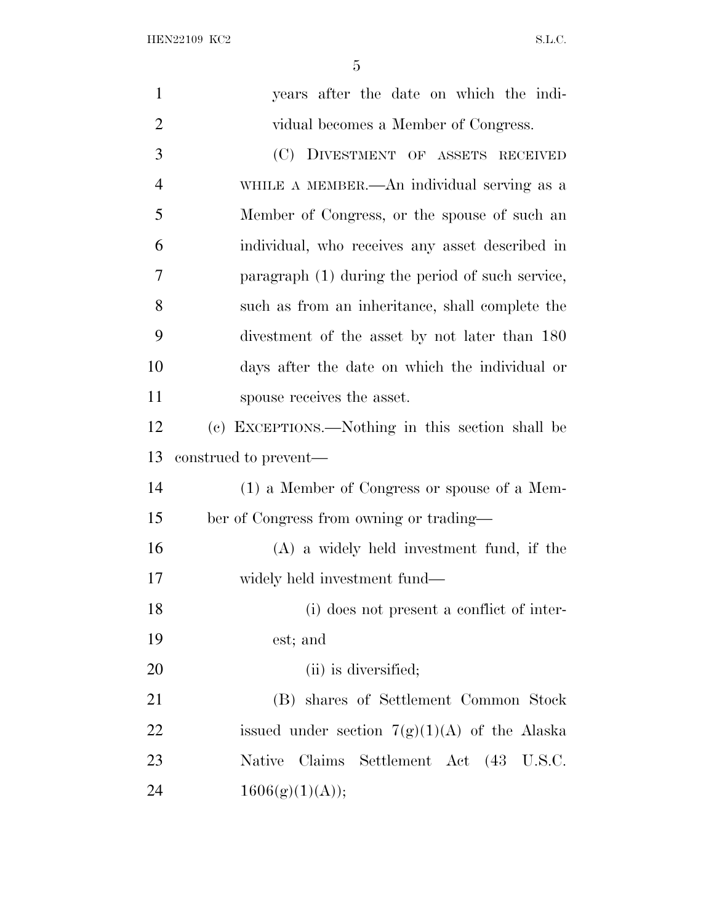| $\mathbf{1}$   | years after the date on which the indi-          |
|----------------|--------------------------------------------------|
| $\overline{2}$ | vidual becomes a Member of Congress.             |
| 3              | (C) DIVESTMENT OF ASSETS RECEIVED                |
| $\overline{4}$ | WHILE A MEMBER.—An individual serving as a       |
| 5              | Member of Congress, or the spouse of such an     |
| 6              | individual, who receives any asset described in  |
| 7              | paragraph (1) during the period of such service, |
| 8              | such as from an inheritance, shall complete the  |
| 9              | divestment of the asset by not later than 180    |
| 10             | days after the date on which the individual or   |
| 11             | spouse receives the asset.                       |
| 12             | (c) EXCEPTIONS.—Nothing in this section shall be |
|                |                                                  |
| 13             | construed to prevent—                            |
|                | (1) a Member of Congress or spouse of a Mem-     |
| 14<br>15       | ber of Congress from owning or trading-          |
|                | $(A)$ a widely held investment fund, if the      |
| 16<br>17       | widely held investment fund—                     |
| 18             | (i) does not present a conflict of inter-        |
| 19             | est; and                                         |
| 20             | (ii) is diversified;                             |
| 21             | (B) shares of Settlement Common Stock            |
| 22             | issued under section $7(g)(1)(A)$ of the Alaska  |
| 23             | Claims Settlement Act (43 U.S.C.<br>Native       |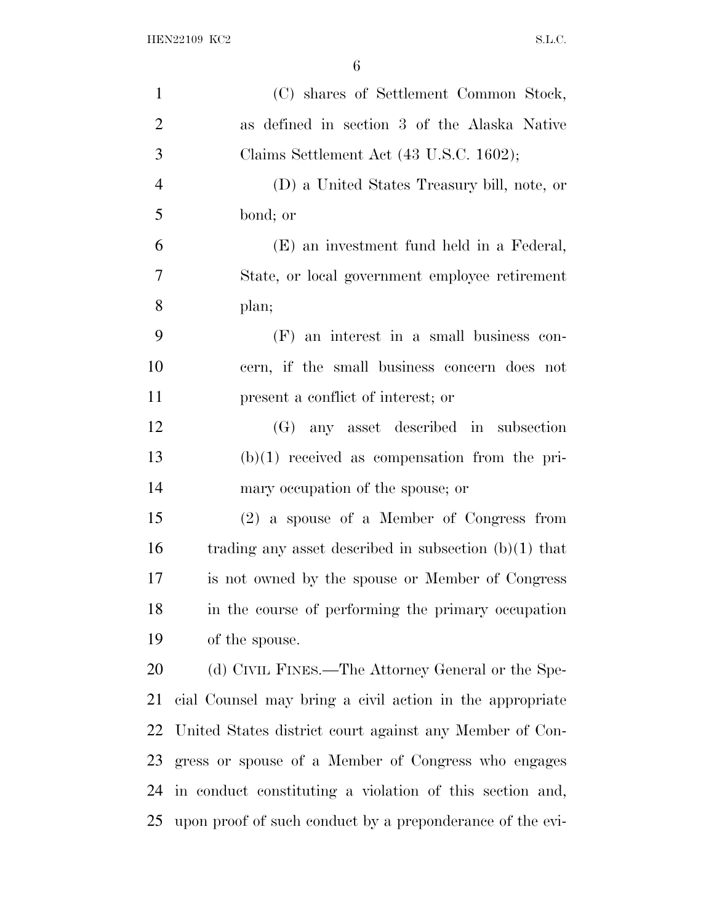| $\mathbf{1}$   | (C) shares of Settlement Common Stock,                    |
|----------------|-----------------------------------------------------------|
| $\overline{2}$ | as defined in section 3 of the Alaska Native              |
| 3              | Claims Settlement Act (43 U.S.C. 1602);                   |
| $\overline{4}$ | (D) a United States Treasury bill, note, or               |
| 5              | bond; or                                                  |
| 6              | (E) an investment fund held in a Federal,                 |
| 7              | State, or local government employee retirement            |
| 8              | plan;                                                     |
| 9              | $(F)$ an interest in a small business con-                |
| 10             | cern, if the small business concern does not              |
| 11             | present a conflict of interest; or                        |
| 12             | (G) any asset described in subsection                     |
| 13             | $(b)(1)$ received as compensation from the pri-           |
| 14             | mary occupation of the spouse; or                         |
| 15             | (2) a spouse of a Member of Congress from                 |
| 16             | trading any asset described in subsection $(b)(1)$ that   |
| 17             | is not owned by the spouse or Member of Congress          |
| 18             | in the course of performing the primary occupation        |
| 19             | of the spouse.                                            |
| 20             | (d) CIVIL FINES.—The Attorney General or the Spe-         |
| 21             | cial Counsel may bring a civil action in the appropriate  |
| 22             | United States district court against any Member of Con-   |
| 23             | gress or spouse of a Member of Congress who engages       |
| 24             | in conduct constituting a violation of this section and,  |
| 25             | upon proof of such conduct by a preponderance of the evi- |
|                |                                                           |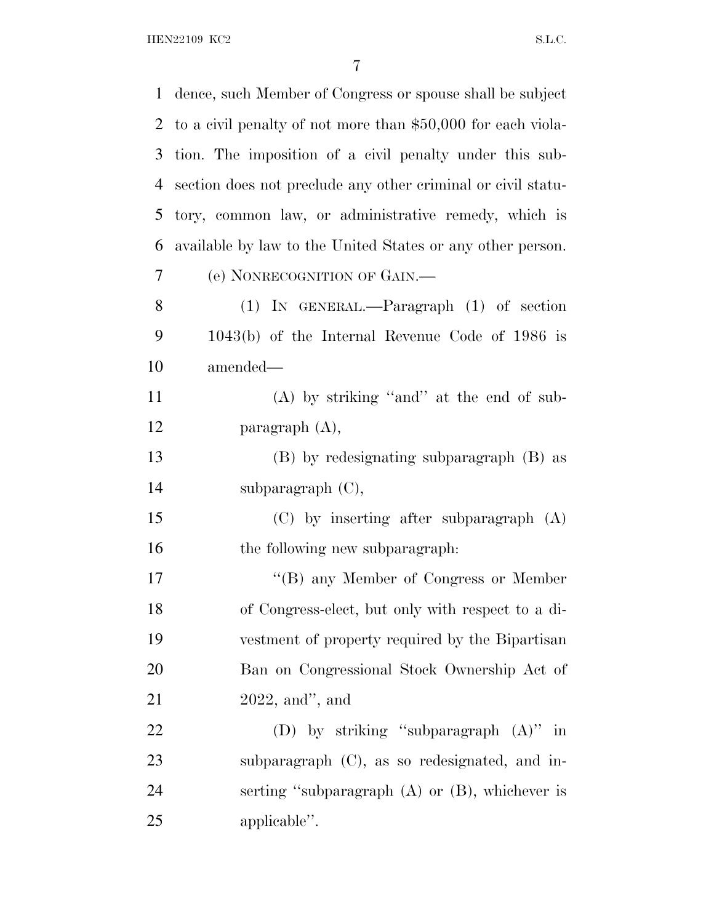HEN22109 KC2 S.L.C.

| 1  | dence, such Member of Congress or spouse shall be subject    |
|----|--------------------------------------------------------------|
| 2  | to a civil penalty of not more than \$50,000 for each viola- |
| 3  | tion. The imposition of a civil penalty under this sub-      |
| 4  | section does not preclude any other criminal or civil statu- |
| 5  | tory, common law, or administrative remedy, which is         |
| 6  | available by law to the United States or any other person.   |
| 7  | (e) NONRECOGNITION OF GAIN.                                  |
| 8  | $(1)$ IN GENERAL.—Paragraph $(1)$ of section                 |
| 9  | $1043(b)$ of the Internal Revenue Code of 1986 is            |
| 10 | amended—                                                     |
| 11 | $(A)$ by striking "and" at the end of sub-                   |
| 12 | paragraph $(A)$ ,                                            |
| 13 | (B) by redesignating subparagraph (B) as                     |
| 14 | subparagraph $(C)$ ,                                         |
| 15 | $(C)$ by inserting after subparagraph $(A)$                  |
| 16 | the following new subparagraph.                              |
| 17 | "(B) any Member of Congress or Member                        |
| 18 | of Congress-elect, but only with respect to a di-            |
| 19 | vestment of property required by the Bipartisan              |
| 20 | Ban on Congressional Stock Ownership Act of                  |
| 21 | $2022$ , and", and                                           |
| 22 | (D) by striking "subparagraph $(A)$ " in                     |
| 23 | subparagraph (C), as so redesignated, and in-                |
| 24 | serting "subparagraph $(A)$ or $(B)$ , whichever is          |
| 25 | applicable".                                                 |